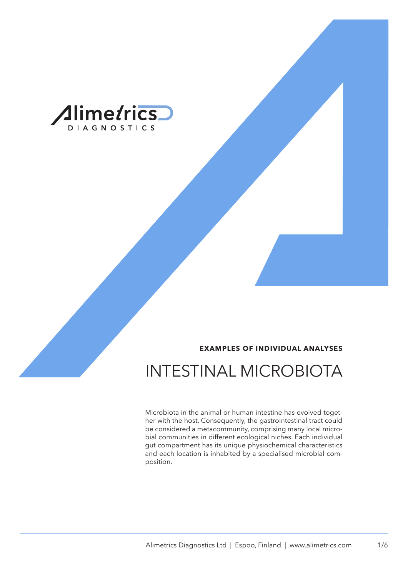

#### **EXAMPLES OF INDIVIDUAL ANALYSES**

## INTESTINAL MICROBIOTA

Microbiota in the animal or human intestine has evolved together with the host. Consequently, the gastrointestinal tract could be considered a metacommunity, comprising many local microbial communities in different ecological niches. Each individual gut compartment has its unique physiochemical characteristics and each location is inhabited by a specialised microbial composition.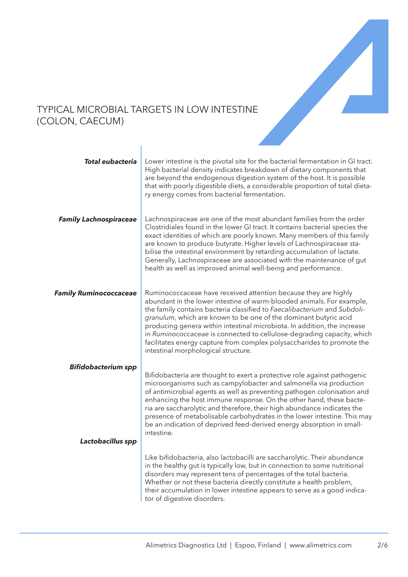

#### TYPICAL MICROBIAL TARGETS IN LOW INTESTINE (COLON, CAECUM)

| <b>Total eubacteria</b>                         | Lower intestine is the pivotal site for the bacterial fermentation in GI tract.<br>High bacterial density indicates breakdown of dietary components that<br>are beyond the endogenous digestion system of the host. It is possible<br>that with poorly digestible diets, a considerable proportion of total dieta-<br>ry energy comes from bacterial fermentation.                                                                                                                                                                                              |
|-------------------------------------------------|-----------------------------------------------------------------------------------------------------------------------------------------------------------------------------------------------------------------------------------------------------------------------------------------------------------------------------------------------------------------------------------------------------------------------------------------------------------------------------------------------------------------------------------------------------------------|
| <b>Family Lachnospiraceae</b>                   | Lachnospiraceae are one of the most abundant families from the order<br>Clostridiales found in the lower GI tract. It contains bacterial species the<br>exact identities of which are poorly known. Many members of this family<br>are known to produce butyrate. Higher levels of Lachnospiraceae sta-<br>bilise the intestinal environment by retarding accumulation of lactate.<br>Generally, Lachnospiraceae are associated with the maintenance of gut<br>health as well as improved animal well-being and performance.                                    |
| <b>Family Ruminococcaceae</b>                   | Ruminococcaceae have received attention because they are highly<br>abundant in the lower intestine of warm-blooded animals. For example,<br>the family contains bacteria classified to Faecalibacterium and Subdoli-<br>granulum, which are known to be one of the dominant butyric acid<br>producing genera within intestinal microbiota. In addition, the increase<br>in Ruminococcaceae is connected to cellulose-degrading capacity, which<br>facilitates energy capture from complex polysaccharides to promote the<br>intestinal morphological structure. |
| <b>Bifidobacterium spp</b><br>Lactobacillus spp | Bifidobacteria are thought to exert a protective role against pathogenic<br>microorganisms such as campylobacter and salmonella via production<br>of antimicrobial agents as well as preventing pathogen colonisation and<br>enhancing the host immune response. On the other hand, these bacte-<br>ria are saccharolytic and therefore, their high abundance indicates the<br>presence of metabolisable carbohydrates in the lower intestine. This may<br>be an indication of deprived feed-derived energy absorption in small-<br>intestine.                  |
|                                                 | Like bifidobacteria, also lactobacilli are saccharolytic. Their abundance<br>in the healthy gut is typically low, but in connection to some nutritional<br>disorders may represent tens of percentages of the total bacteria.<br>Whether or not these bacteria directly constitute a health problem,<br>their accumulation in lower intestine appears to serve as a good indica-<br>tor of digestive disorders.                                                                                                                                                 |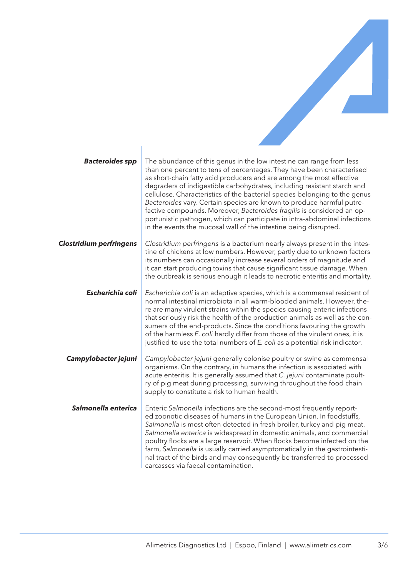

| <b>Bacteroides spp</b>         | The abundance of this genus in the low intestine can range from less<br>than one percent to tens of percentages. They have been characterised<br>as short-chain fatty acid producers and are among the most effective<br>degraders of indigestible carbohydrates, including resistant starch and<br>cellulose. Characteristics of the bacterial species belonging to the genus<br>Bacteroides vary. Certain species are known to produce harmful putre-<br>factive compounds. Moreover, Bacteroides fragilis is considered an op-<br>portunistic pathogen, which can participate in intra-abdominal infections<br>in the events the mucosal wall of the intestine being disrupted. |
|--------------------------------|------------------------------------------------------------------------------------------------------------------------------------------------------------------------------------------------------------------------------------------------------------------------------------------------------------------------------------------------------------------------------------------------------------------------------------------------------------------------------------------------------------------------------------------------------------------------------------------------------------------------------------------------------------------------------------|
| <b>Clostridium perfringens</b> | Clostridium perfringens is a bacterium nearly always present in the intes-<br>tine of chickens at low numbers. However, partly due to unknown factors<br>its numbers can occasionally increase several orders of magnitude and<br>it can start producing toxins that cause significant tissue damage. When<br>the outbreak is serious enough it leads to necrotic enteritis and mortality.                                                                                                                                                                                                                                                                                         |
| Escherichia coli               | Escherichia coli is an adaptive species, which is a commensal resident of<br>normal intestinal microbiota in all warm-blooded animals. However, the-<br>re are many virulent strains within the species causing enteric infections<br>that seriously risk the health of the production animals as well as the con-<br>sumers of the end-products. Since the conditions favouring the growth<br>of the harmless E. coli hardly differ from those of the virulent ones, it is<br>justified to use the total numbers of E. coli as a potential risk indicator.                                                                                                                        |
| Campylobacter jejuni           | Campylobacter jejuni generally colonise poultry or swine as commensal<br>organisms. On the contrary, in humans the infection is associated with<br>acute enteritis. It is generally assumed that C. jejuni contaminate poult-<br>ry of pig meat during processing, surviving throughout the food chain<br>supply to constitute a risk to human health.                                                                                                                                                                                                                                                                                                                             |
| Salmonella enterica            | Enteric Salmonella infections are the second-most frequently report-<br>ed zoonotic diseases of humans in the European Union. In foodstuffs,<br>Salmonella is most often detected in fresh broiler, turkey and pig meat.<br>Salmonella enterica is widespread in domestic animals, and commercial<br>poultry flocks are a large reservoir. When flocks become infected on the<br>farm, Salmonella is usually carried asymptomatically in the gastrointesti-<br>nal tract of the birds and may consequently be transferred to processed<br>carcasses via faecal contamination.                                                                                                      |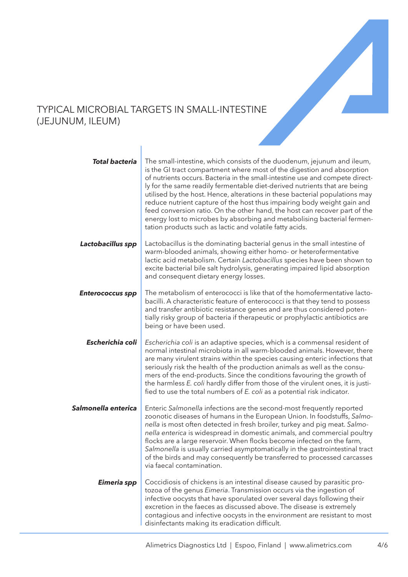

#### TYPICAL MICROBIAL TARGETS IN SMALL-INTESTINE (JEJUNUM, ILEUM)

| <b>Total bacteria</b>   | The small-intestine, which consists of the duodenum, jejunum and ileum,<br>is the GI tract compartment where most of the digestion and absorption<br>of nutrients occurs. Bacteria in the small-intestine use and compete direct-<br>ly for the same readily fermentable diet-derived nutrients that are being<br>utilised by the host. Hence, alterations in these bacterial populations may<br>reduce nutrient capture of the host thus impairing body weight gain and<br>feed conversion ratio. On the other hand, the host can recover part of the<br>energy lost to microbes by absorbing and metabolising bacterial fermen-<br>tation products such as lactic and volatile fatty acids. |
|-------------------------|-----------------------------------------------------------------------------------------------------------------------------------------------------------------------------------------------------------------------------------------------------------------------------------------------------------------------------------------------------------------------------------------------------------------------------------------------------------------------------------------------------------------------------------------------------------------------------------------------------------------------------------------------------------------------------------------------|
| Lactobacillus spp       | Lactobacillus is the dominating bacterial genus in the small intestine of<br>warm-blooded animals, showing either homo- or heterofermentative<br>lactic acid metabolism. Certain Lactobacillus species have been shown to<br>excite bacterial bile salt hydrolysis, generating impaired lipid absorption<br>and consequent dietary energy losses.                                                                                                                                                                                                                                                                                                                                             |
| <b>Enterococcus spp</b> | The metabolism of enterococci is like that of the homofermentative lacto-<br>bacilli. A characteristic feature of enterococci is that they tend to possess<br>and transfer antibiotic resistance genes and are thus considered poten-<br>tially risky group of bacteria if therapeutic or prophylactic antibiotics are<br>being or have been used.                                                                                                                                                                                                                                                                                                                                            |
| Escherichia coli        | Escherichia coli is an adaptive species, which is a commensal resident of<br>normal intestinal microbiota in all warm-blooded animals. However, there<br>are many virulent strains within the species causing enteric infections that<br>seriously risk the health of the production animals as well as the consu-<br>mers of the end-products. Since the conditions favouring the growth of<br>the harmless E. coli hardly differ from those of the virulent ones, it is justi-<br>fied to use the total numbers of E. coli as a potential risk indicator.                                                                                                                                   |
| Salmonella enterica     | Enteric Salmonella infections are the second-most frequently reported<br>zoonotic diseases of humans in the European Union. In foodstuffs, Salmo-<br>nella is most often detected in fresh broiler, turkey and pig meat. Salmo-<br>nella enterica is widespread in domestic animals, and commercial poultry<br>flocks are a large reservoir. When flocks become infected on the farm,<br>Salmonella is usually carried asymptomatically in the gastrointestinal tract<br>of the birds and may consequently be transferred to processed carcasses<br>via faecal contamination.                                                                                                                 |
| Eimeria spp             | Coccidiosis of chickens is an intestinal disease caused by parasitic pro-<br>tozoa of the genus Eimeria. Transmission occurs via the ingestion of<br>infective oocysts that have sporulated over several days following their<br>excretion in the faeces as discussed above. The disease is extremely<br>contagious and infective oocysts in the environment are resistant to most<br>disinfectants making its eradication difficult.                                                                                                                                                                                                                                                         |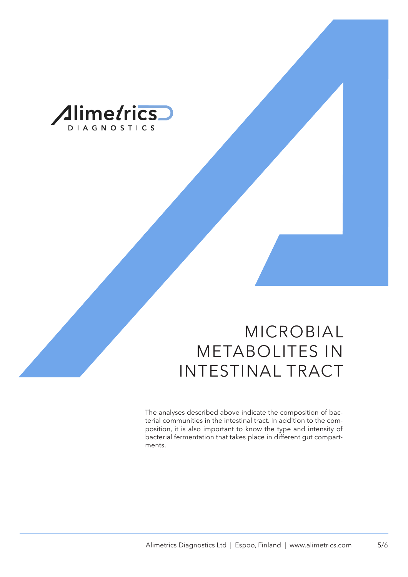

# MICROBIAL METABOLITES IN INTESTINAL TRACT

The analyses described above indicate the composition of bacterial communities in the intestinal tract. In addition to the composition, it is also important to know the type and intensity of bacterial fermentation that takes place in different gut compartments.